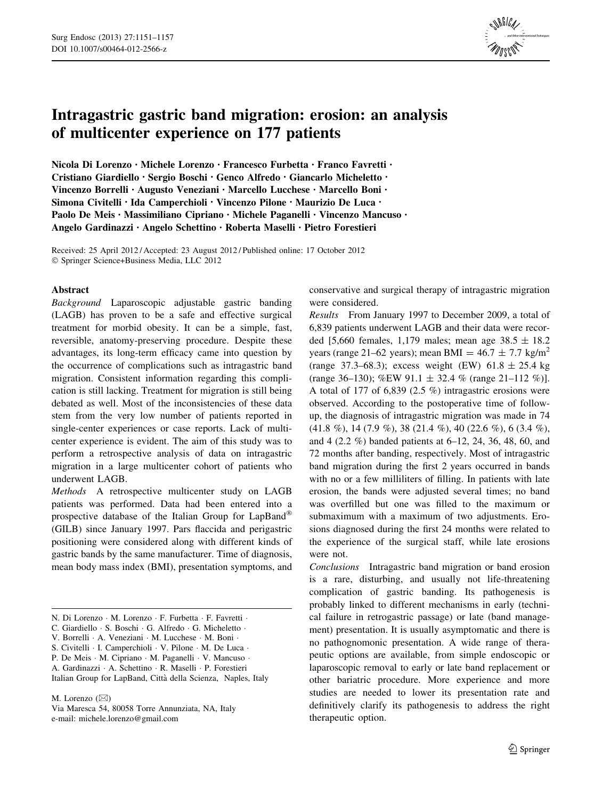

# Intragastric gastric band migration: erosion: an analysis of multicenter experience on 177 patients

Nicola Di Lorenzo • Michele Lorenzo • Francesco Furbetta • Franco Favretti • Cristiano Giardiello • Sergio Boschi • Genco Alfredo • Giancarlo Micheletto • Vincenzo Borrelli • Augusto Veneziani • Marcello Lucchese • Marcello Boni • Simona Civitelli • Ida Camperchioli • Vincenzo Pilone • Maurizio De Luca • Paolo De Meis • Massimiliano Cipriano • Michele Paganelli • Vincenzo Mancuso • Angelo Gardinazzi • Angelo Schettino • Roberta Maselli • Pietro Forestieri

Received: 25 April 2012 / Accepted: 23 August 2012 / Published online: 17 October 2012 - Springer Science+Business Media, LLC 2012

# Abstract

Background Laparoscopic adjustable gastric banding (LAGB) has proven to be a safe and effective surgical treatment for morbid obesity. It can be a simple, fast, reversible, anatomy-preserving procedure. Despite these advantages, its long-term efficacy came into question by the occurrence of complications such as intragastric band migration. Consistent information regarding this complication is still lacking. Treatment for migration is still being debated as well. Most of the inconsistencies of these data stem from the very low number of patients reported in single-center experiences or case reports. Lack of multicenter experience is evident. The aim of this study was to perform a retrospective analysis of data on intragastric migration in a large multicenter cohort of patients who underwent LAGB.

Methods A retrospective multicenter study on LAGB patients was performed. Data had been entered into a prospective database of the Italian Group for LapBand (GILB) since January 1997. Pars flaccida and perigastric positioning were considered along with different kinds of gastric bands by the same manufacturer. Time of diagnosis, mean body mass index (BMI), presentation symptoms, and

M. Lorenzo  $(\boxtimes)$ 

Via Maresca 54, 80058 Torre Annunziata, NA, Italy e-mail: michele.lorenzo@gmail.com

conservative and surgical therapy of intragastric migration were considered.

Results From January 1997 to December 2009, a total of 6,839 patients underwent LAGB and their data were recorded [5,660 females, 1,179 males; mean age  $38.5 \pm 18.2$ years (range 21–62 years); mean BMI =  $46.7 \pm 7.7$  kg/m<sup>2</sup> (range 37.3–68.3); excess weight (EW)  $61.8 \pm 25.4$  kg (range 36–130); %EW 91.1  $\pm$  32.4 % (range 21–112 %)]. A total of 177 of 6,839 (2.5 %) intragastric erosions were observed. According to the postoperative time of followup, the diagnosis of intragastric migration was made in 74 (41.8 %), 14 (7.9 %), 38 (21.4 %), 40 (22.6 %), 6 (3.4 %), and 4 (2.2 %) banded patients at 6–12, 24, 36, 48, 60, and 72 months after banding, respectively. Most of intragastric band migration during the first 2 years occurred in bands with no or a few milliliters of filling. In patients with late erosion, the bands were adjusted several times; no band was overfilled but one was filled to the maximum or submaximum with a maximum of two adjustments. Erosions diagnosed during the first 24 months were related to the experience of the surgical staff, while late erosions were not.

Conclusions Intragastric band migration or band erosion is a rare, disturbing, and usually not life-threatening complication of gastric banding. Its pathogenesis is probably linked to different mechanisms in early (technical failure in retrogastric passage) or late (band management) presentation. It is usually asymptomatic and there is no pathognomonic presentation. A wide range of therapeutic options are available, from simple endoscopic or laparoscopic removal to early or late band replacement or other bariatric procedure. More experience and more studies are needed to lower its presentation rate and definitively clarify its pathogenesis to address the right therapeutic option.

N. Di Lorenzo · M. Lorenzo · F. Furbetta · F. Favretti ·

C. Giardiello · S. Boschi · G. Alfredo · G. Micheletto ·

V. Borrelli · A. Veneziani · M. Lucchese · M. Boni ·

S. Civitelli · I. Camperchioli · V. Pilone · M. De Luca ·

P. De Meis · M. Cipriano · M. Paganelli · V. Mancuso ·

A. Gardinazzi - A. Schettino - R. Maselli - P. Forestieri

Italian Group for LapBand, Città della Scienza, Naples, Italy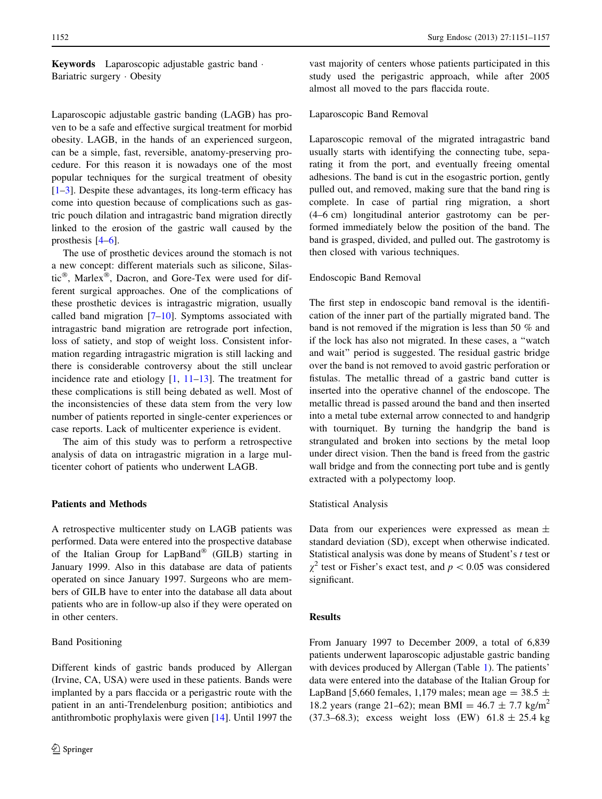# Keywords Laparoscopic adjustable gastric band - Bariatric surgery - Obesity

Laparoscopic adjustable gastric banding (LAGB) has proven to be a safe and effective surgical treatment for morbid obesity. LAGB, in the hands of an experienced surgeon, can be a simple, fast, reversible, anatomy-preserving procedure. For this reason it is nowadays one of the most popular techniques for the surgical treatment of obesity  $[1–3]$  $[1–3]$ . Despite these advantages, its long-term efficacy has come into question because of complications such as gastric pouch dilation and intragastric band migration directly linked to the erosion of the gastric wall caused by the prosthesis [[4–6\]](#page-5-0).

The use of prosthetic devices around the stomach is not a new concept: different materials such as silicone, Silastic $^{\circledR}$ , Marlex $^{\circledR}$ , Dacron, and Gore-Tex were used for different surgical approaches. One of the complications of these prosthetic devices is intragastric migration, usually called band migration  $[7–10]$  $[7–10]$ . Symptoms associated with intragastric band migration are retrograde port infection, loss of satiety, and stop of weight loss. Consistent information regarding intragastric migration is still lacking and there is considerable controversy about the still unclear incidence rate and etiology [\[1](#page-5-0), [11–13\]](#page-5-0). The treatment for these complications is still being debated as well. Most of the inconsistencies of these data stem from the very low number of patients reported in single-center experiences or case reports. Lack of multicenter experience is evident.

The aim of this study was to perform a retrospective analysis of data on intragastric migration in a large multicenter cohort of patients who underwent LAGB.

## Patients and Methods

A retrospective multicenter study on LAGB patients was performed. Data were entered into the prospective database of the Italian Group for  $LapBand^{\circledR}$  (GILB) starting in January 1999. Also in this database are data of patients operated on since January 1997. Surgeons who are members of GILB have to enter into the database all data about patients who are in follow-up also if they were operated on in other centers.

#### Band Positioning

vast majority of centers whose patients participated in this study used the perigastric approach, while after 2005 almost all moved to the pars flaccida route.

# Laparoscopic Band Removal

Laparoscopic removal of the migrated intragastric band usually starts with identifying the connecting tube, separating it from the port, and eventually freeing omental adhesions. The band is cut in the esogastric portion, gently pulled out, and removed, making sure that the band ring is complete. In case of partial ring migration, a short (4–6 cm) longitudinal anterior gastrotomy can be performed immediately below the position of the band. The band is grasped, divided, and pulled out. The gastrotomy is then closed with various techniques.

# Endoscopic Band Removal

The first step in endoscopic band removal is the identification of the inner part of the partially migrated band. The band is not removed if the migration is less than 50 % and if the lock has also not migrated. In these cases, a ''watch and wait'' period is suggested. The residual gastric bridge over the band is not removed to avoid gastric perforation or fistulas. The metallic thread of a gastric band cutter is inserted into the operative channel of the endoscope. The metallic thread is passed around the band and then inserted into a metal tube external arrow connected to and handgrip with tourniquet. By turning the handgrip the band is strangulated and broken into sections by the metal loop under direct vision. Then the band is freed from the gastric wall bridge and from the connecting port tube and is gently extracted with a polypectomy loop.

#### Statistical Analysis

Data from our experiences were expressed as mean  $\pm$ standard deviation (SD), except when otherwise indicated. Statistical analysis was done by means of Student's t test or  $\chi^2$  test or Fisher's exact test, and  $p < 0.05$  was considered significant.

### Results

From January 1997 to December 2009, a total of 6,839 patients underwent laparoscopic adjustable gastric banding with devices produced by Allergan (Table [1](#page-2-0)). The patients' data were entered into the database of the Italian Group for LapBand [5,660 females, 1,179 males; mean age =  $38.5 \pm$ 18.2 years (range 21–62); mean BMI =  $46.7 \pm 7.7$  kg/m<sup>2</sup> (37.3–68.3); excess weight loss (EW)  $61.8 \pm 25.4$  kg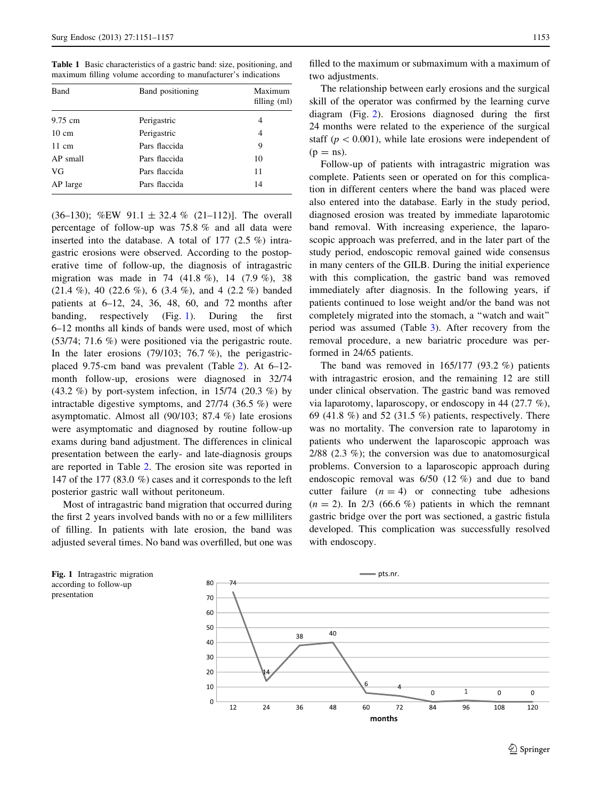<span id="page-2-0"></span>Table 1 Basic characteristics of a gastric band: size, positioning, and maximum filling volume according to manufacturer's indications

| Band            | Band positioning | Maximum<br>filling $(ml)$ |  |
|-----------------|------------------|---------------------------|--|
| 9.75 cm         | Perigastric      | 4                         |  |
| $10 \text{ cm}$ | Perigastric      | 4                         |  |
| $11 \text{ cm}$ | Pars flaccida    | 9                         |  |
| AP small        | Pars flaccida    | 10                        |  |
| VG              | Pars flaccida    | 11                        |  |
| AP large        | Pars flaccida    | 14                        |  |

(36–130); %EW 91.1  $\pm$  32.4 % (21–112)]. The overall percentage of follow-up was 75.8 % and all data were inserted into the database. A total of 177 (2.5 %) intragastric erosions were observed. According to the postoperative time of follow-up, the diagnosis of intragastric migration was made in 74 (41.8 %), 14 (7.9 %), 38  $(21.4 \%)$ , 40  $(22.6 \%)$ , 6  $(3.4 \%)$ , and 4  $(2.2 \%)$  banded patients at 6–12, 24, 36, 48, 60, and 72 months after banding, respectively (Fig. 1). During the first 6–12 months all kinds of bands were used, most of which (53/74; 71.6 %) were positioned via the perigastric route. In the later erosions (79/103; 76.7 %), the perigastricplaced 9.75-cm band was prevalent (Table [2\)](#page-3-0). At 6–12 month follow-up, erosions were diagnosed in 32/74 (43.2 %) by port-system infection, in 15/74 (20.3 %) by intractable digestive symptoms, and 27/74 (36.5 %) were asymptomatic. Almost all (90/103; 87.4 %) late erosions were asymptomatic and diagnosed by routine follow-up exams during band adjustment. The differences in clinical presentation between the early- and late-diagnosis groups are reported in Table [2](#page-3-0). The erosion site was reported in 147 of the 177 (83.0 %) cases and it corresponds to the left posterior gastric wall without peritoneum.

Most of intragastric band migration that occurred during the first 2 years involved bands with no or a few milliliters of filling. In patients with late erosion, the band was adjusted several times. No band was overfilled, but one was

filled to the maximum or submaximum with a maximum of two adjustments.

The relationship between early erosions and the surgical skill of the operator was confirmed by the learning curve diagram (Fig. [2\)](#page-3-0). Erosions diagnosed during the first 24 months were related to the experience of the surgical staff ( $p < 0.001$ ), while late erosions were independent of  $(p = ns)$ .

Follow-up of patients with intragastric migration was complete. Patients seen or operated on for this complication in different centers where the band was placed were also entered into the database. Early in the study period, diagnosed erosion was treated by immediate laparotomic band removal. With increasing experience, the laparoscopic approach was preferred, and in the later part of the study period, endoscopic removal gained wide consensus in many centers of the GILB. During the initial experience with this complication, the gastric band was removed immediately after diagnosis. In the following years, if patients continued to lose weight and/or the band was not completely migrated into the stomach, a ''watch and wait'' period was assumed (Table [3\)](#page-4-0). After recovery from the removal procedure, a new bariatric procedure was performed in 24/65 patients.

The band was removed in  $165/177$  (93.2 %) patients with intragastric erosion, and the remaining 12 are still under clinical observation. The gastric band was removed via laparotomy, laparoscopy, or endoscopy in 44 (27.7 %), 69 (41.8 %) and 52 (31.5 %) patients, respectively. There was no mortality. The conversion rate to laparotomy in patients who underwent the laparoscopic approach was 2/88 (2.3 %); the conversion was due to anatomosurgical problems. Conversion to a laparoscopic approach during endoscopic removal was 6/50 (12 %) and due to band cutter failure  $(n = 4)$  or connecting tube adhesions  $(n = 2)$ . In 2/3 (66.6 %) patients in which the remnant gastric bridge over the port was sectioned, a gastric fistula developed. This complication was successfully resolved with endoscopy.



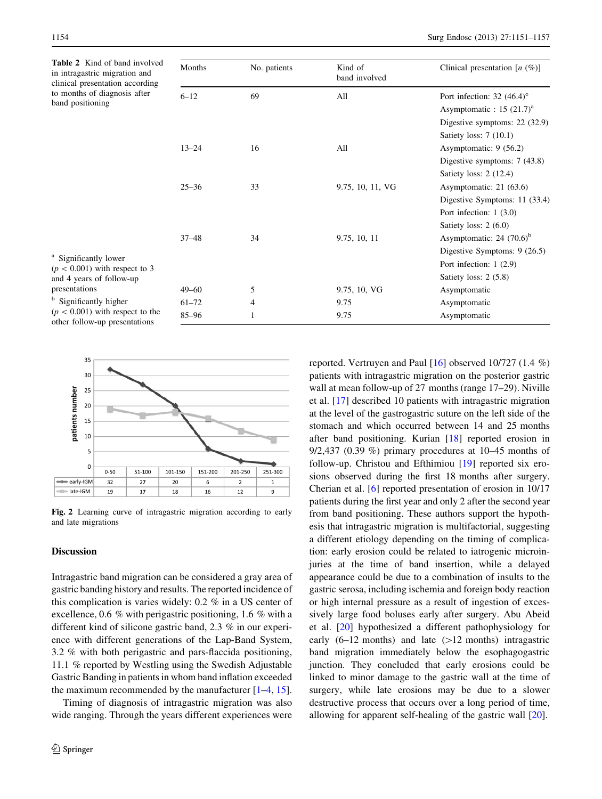<span id="page-3-0"></span>

| Table 2 Kind of band involved<br>in intragastric migration and<br>clinical presentation according       | Months    | No. patients | Kind of<br>band involved | Clinical presentation $[n \ (\%)]$      |
|---------------------------------------------------------------------------------------------------------|-----------|--------------|--------------------------|-----------------------------------------|
| to months of diagnosis after<br>band positioning                                                        | $6 - 12$  | 69           | All                      | Port infection: 32 $(46.4)^\circ$       |
|                                                                                                         |           |              |                          | Asymptomatic : $15$ (21.7) <sup>a</sup> |
|                                                                                                         |           |              |                          | Digestive symptoms: $22$ (32.9)         |
|                                                                                                         |           |              |                          | Satiety loss: $7(10.1)$                 |
|                                                                                                         | $13 - 24$ | 16           | All                      | Asymptomatic: $9(56.2)$                 |
|                                                                                                         |           |              |                          | Digestive symptoms: $7(43.8)$           |
|                                                                                                         |           |              |                          | Satiety loss: $2(12.4)$                 |
|                                                                                                         | $25 - 36$ | 33           | 9.75, 10, 11, VG         | Asymptomatic: $21(63.6)$                |
|                                                                                                         |           |              |                          | Digestive Symptoms: 11 (33.4)           |
|                                                                                                         |           |              |                          | Port infection: $1(3.0)$                |
|                                                                                                         |           |              |                          | Satiety loss: $2(6.0)$                  |
|                                                                                                         | $37 - 48$ | 34           | 9.75, 10, 11             | Asymptomatic: $24$ (70.6) <sup>b</sup>  |
|                                                                                                         |           |              |                          | Digestive Symptoms: $9(26.5)$           |
| <sup>a</sup> Significantly lower<br>$(p < 0.001)$ with respect to 3                                     |           |              |                          | Port infection: $1(2.9)$                |
| and 4 years of follow-up                                                                                |           |              |                          | Satiety loss: $2(5.8)$                  |
| presentations                                                                                           | $49 - 60$ | 5            | 9.75, 10, VG             | Asymptomatic                            |
| <sup>b</sup> Significantly higher<br>$(p < 0.001)$ with respect to the<br>other follow-up presentations | $61 - 72$ | 4            | 9.75                     | Asymptomatic                            |
|                                                                                                         | $85 - 96$ |              | 9.75                     | Asymptomatic                            |



Fig. 2 Learning curve of intragastric migration according to early and late migrations

#### **Discussion**

Intragastric band migration can be considered a gray area of gastric banding history and results. The reported incidence of this complication is varies widely: 0.2 % in a US center of excellence, 0.6 % with perigastric positioning, 1.6 % with a different kind of silicone gastric band, 2.3 % in our experience with different generations of the Lap-Band System, 3.2 % with both perigastric and pars-flaccida positioning, 11.1 % reported by Westling using the Swedish Adjustable Gastric Banding in patients in whom band inflation exceeded the maximum recommended by the manufacturer  $[1-4, 15]$  $[1-4, 15]$  $[1-4, 15]$ .

Timing of diagnosis of intragastric migration was also wide ranging. Through the years different experiences were reported. Vertruyen and Paul [[16\]](#page-5-0) observed 10/727 (1.4 %) patients with intragastric migration on the posterior gastric wall at mean follow-up of 27 months (range 17–29). Niville et al. [\[17](#page-5-0)] described 10 patients with intragastric migration at the level of the gastrogastric suture on the left side of the stomach and which occurred between 14 and 25 months after band positioning. Kurian [\[18](#page-5-0)] reported erosion in 9/2,437 (0.39 %) primary procedures at 10–45 months of follow-up. Christou and Efthimiou [\[19](#page-5-0)] reported six erosions observed during the first 18 months after surgery. Cherian et al. [\[6](#page-5-0)] reported presentation of erosion in 10/17 patients during the first year and only 2 after the second year from band positioning. These authors support the hypothesis that intragastric migration is multifactorial, suggesting a different etiology depending on the timing of complication: early erosion could be related to iatrogenic microinjuries at the time of band insertion, while a delayed appearance could be due to a combination of insults to the gastric serosa, including ischemia and foreign body reaction or high internal pressure as a result of ingestion of excessively large food boluses early after surgery. Abu Abeid et al. [\[20](#page-5-0)] hypothesized a different pathophysiology for early  $(6-12 \text{ months})$  and late  $(>12 \text{ months})$  intragastric band migration immediately below the esophagogastric junction. They concluded that early erosions could be linked to minor damage to the gastric wall at the time of surgery, while late erosions may be due to a slower destructive process that occurs over a long period of time, allowing for apparent self-healing of the gastric wall [\[20](#page-5-0)].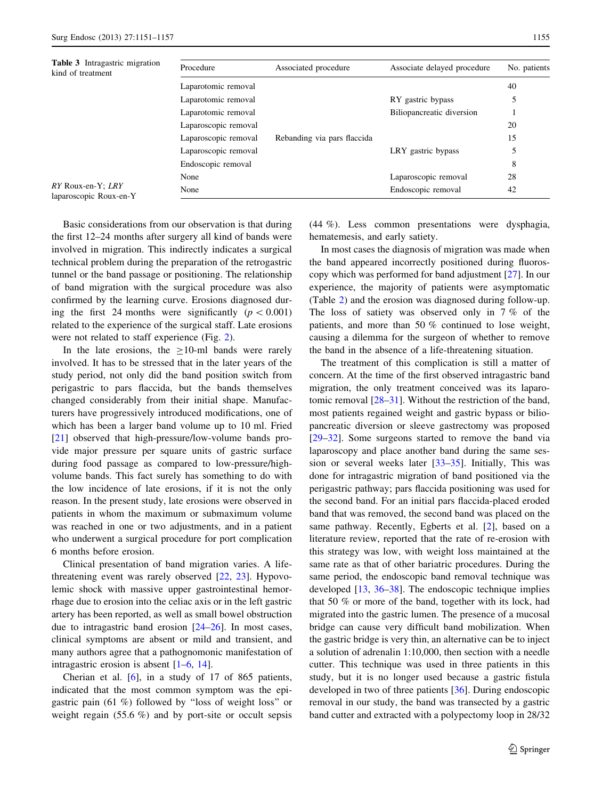<span id="page-4-0"></span>

| <b>Table 3</b> Intragastric migration<br>kind of treatment | Procedure            | Associated procedure        | Associate delayed procedure | No. patients |
|------------------------------------------------------------|----------------------|-----------------------------|-----------------------------|--------------|
|                                                            | Laparotomic removal  |                             |                             | 40           |
|                                                            | Laparotomic removal  |                             | RY gastric bypass           |              |
|                                                            | Laparotomic removal  |                             | Biliopancreatic diversion   |              |
|                                                            | Laparoscopic removal |                             |                             | 20           |
|                                                            | Laparoscopic removal | Rebanding via pars flaccida |                             | 15           |
|                                                            | Laparoscopic removal |                             | LRY gastric bypass          | 5            |
|                                                            | Endoscopic removal   |                             |                             | 8            |
|                                                            | None                 |                             | Laparoscopic removal        | 28           |
| RY Roux-en-Y; LRY<br>laparoscopic Roux-en-Y                | None                 |                             | Endoscopic removal          | 42           |

Basic considerations from our observation is that during the first 12–24 months after surgery all kind of bands were involved in migration. This indirectly indicates a surgical technical problem during the preparation of the retrogastric tunnel or the band passage or positioning. The relationship of band migration with the surgical procedure was also confirmed by the learning curve. Erosions diagnosed during the first 24 months were significantly  $(p<0.001)$ related to the experience of the surgical staff. Late erosions were not related to staff experience (Fig. [2\)](#page-3-0).

In the late erosions, the  $\geq$ 10-ml bands were rarely involved. It has to be stressed that in the later years of the study period, not only did the band position switch from perigastric to pars flaccida, but the bands themselves changed considerably from their initial shape. Manufacturers have progressively introduced modifications, one of which has been a larger band volume up to 10 ml. Fried [\[21](#page-5-0)] observed that high-pressure/low-volume bands provide major pressure per square units of gastric surface during food passage as compared to low-pressure/highvolume bands. This fact surely has something to do with the low incidence of late erosions, if it is not the only reason. In the present study, late erosions were observed in patients in whom the maximum or submaximum volume was reached in one or two adjustments, and in a patient who underwent a surgical procedure for port complication 6 months before erosion.

Clinical presentation of band migration varies. A lifethreatening event was rarely observed [\[22](#page-5-0), [23\]](#page-5-0). Hypovolemic shock with massive upper gastrointestinal hemorrhage due to erosion into the celiac axis or in the left gastric artery has been reported, as well as small bowel obstruction due to intragastric band erosion [\[24](#page-5-0)[–26](#page-6-0)]. In most cases, clinical symptoms are absent or mild and transient, and many authors agree that a pathognomonic manifestation of intragastric erosion is absent [\[1–6](#page-5-0), [14](#page-5-0)].

Cherian et al. [\[6](#page-5-0)], in a study of 17 of 865 patients, indicated that the most common symptom was the epigastric pain (61 %) followed by ''loss of weight loss'' or weight regain (55.6 %) and by port-site or occult sepsis (44 %). Less common presentations were dysphagia, hematemesis, and early satiety.

In most cases the diagnosis of migration was made when the band appeared incorrectly positioned during fluoroscopy which was performed for band adjustment [\[27](#page-6-0)]. In our experience, the majority of patients were asymptomatic (Table [2\)](#page-3-0) and the erosion was diagnosed during follow-up. The loss of satiety was observed only in 7 % of the patients, and more than 50 % continued to lose weight, causing a dilemma for the surgeon of whether to remove the band in the absence of a life-threatening situation.

The treatment of this complication is still a matter of concern. At the time of the first observed intragastric band migration, the only treatment conceived was its laparotomic removal [\[28–31](#page-6-0)]. Without the restriction of the band, most patients regained weight and gastric bypass or biliopancreatic diversion or sleeve gastrectomy was proposed [\[29–32](#page-6-0)]. Some surgeons started to remove the band via laparoscopy and place another band during the same session or several weeks later [[33–35\]](#page-6-0). Initially, This was done for intragastric migration of band positioned via the perigastric pathway; pars flaccida positioning was used for the second band. For an initial pars flaccida-placed eroded band that was removed, the second band was placed on the same pathway. Recently, Egberts et al. [[2\]](#page-5-0), based on a literature review, reported that the rate of re-erosion with this strategy was low, with weight loss maintained at the same rate as that of other bariatric procedures. During the same period, the endoscopic band removal technique was developed [\[13](#page-5-0), [36–38](#page-6-0)]. The endoscopic technique implies that 50 % or more of the band, together with its lock, had migrated into the gastric lumen. The presence of a mucosal bridge can cause very difficult band mobilization. When the gastric bridge is very thin, an alternative can be to inject a solution of adrenalin 1:10,000, then section with a needle cutter. This technique was used in three patients in this study, but it is no longer used because a gastric fistula developed in two of three patients [[36\]](#page-6-0). During endoscopic removal in our study, the band was transected by a gastric band cutter and extracted with a polypectomy loop in 28/32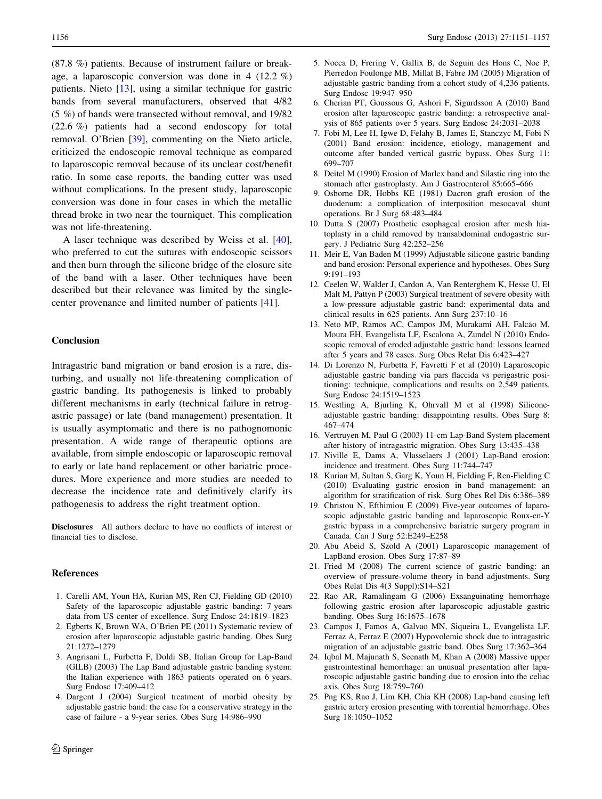<span id="page-5-0"></span>(87.8 %) patients. Because of instrument failure or breakage, a laparoscopic conversion was done in 4 (12.2 %) patients. Nieto [13], using a similar technique for gastric bands from several manufacturers, observed that 4/82 (5 %) of bands were transected without removal, and 19/82 (22.6 %) patients had a second endoscopy for total removal. O'Brien [[39\]](#page-6-0), commenting on the Nieto article, criticized the endoscopic removal technique as compared to laparoscopic removal because of its unclear cost/benefit ratio. In some case reports, the banding cutter was used without complications. In the present study, laparoscopic conversion was done in four cases in which the metallic thread broke in two near the tourniquet. This complication was not life-threatening.

A laser technique was described by Weiss et al. [\[40](#page-6-0)], who preferred to cut the sutures with endoscopic scissors and then burn through the silicone bridge of the closure site of the band with a laser. Other techniques have been described but their relevance was limited by the singlecenter provenance and limited number of patients [\[41](#page-6-0)].

# Conclusion

Intragastric band migration or band erosion is a rare, disturbing, and usually not life-threatening complication of gastric banding. Its pathogenesis is linked to probably different mechanisms in early (technical failure in retrogastric passage) or late (band management) presentation. It is usually asymptomatic and there is no pathognomonic presentation. A wide range of therapeutic options are available, from simple endoscopic or laparoscopic removal to early or late band replacement or other bariatric procedures. More experience and more studies are needed to decrease the incidence rate and definitively clarify its pathogenesis to address the right treatment option.

Disclosures All authors declare to have no conflicts of interest or financial ties to disclose.

#### References

- 1. Carelli AM, Youn HA, Kurian MS, Ren CJ, Fielding GD (2010) Safety of the laparoscopic adjustable gastric banding: 7 years data from US center of excellence. Surg Endosc 24:1819–1823
- 2. Egberts K, Brown WA, O'Brien PE (2011) Systematic review of erosion after laparoscopic adjustable gastric banding. Obes Surg 21:1272–1279
- 3. Angrisani L, Furbetta F, Doldi SB, Italian Group for Lap-Band (GILB) (2003) The Lap Band adjustable gastric banding system: the Italian experience with 1863 patients operated on 6 years. Surg Endosc 17:409–412
- 4. Dargent J (2004) Surgical treatment of morbid obesity by adjustable gastric band: the case for a conservative strategy in the case of failure - a 9-year series. Obes Surg 14:986–990
- 5. Nocca D, Frering V, Gallix B, de Seguin des Hons C, Noe P, Pierredon Foulonge MB, Millat B, Fabre JM (2005) Migration of adjustable gastric banding from a cohort study of 4,236 patients. Surg Endosc 19:947–950
- 6. Cherian PT, Goussous G, Ashori F, Sigurdsson A (2010) Band erosion after laparoscopic gastric banding: a retrospective analysis of 865 patients over 5 years. Surg Endosc 24:2031–2038
- 7. Fobi M, Lee H, Igwe D, Felahy B, James E, Stanczyc M, Fobi N (2001) Band erosion: incidence, etiology, management and outcome after banded vertical gastric bypass. Obes Surg 11: 699–707
- 8. Deitel M (1990) Erosion of Marlex band and Silastic ring into the stomach after gastroplasty. Am J Gastroenterol 85:665–666
- 9. Osborne DR, Hobbs KE (1981) Dacron graft erosion of the duodenum: a complication of interposition mesocaval shunt operations. Br J Surg 68:483–484
- 10. Dutta S (2007) Prosthetic esophageal erosion after mesh hiatoplasty in a child removed by transabdominal endogastric surgery. J Pediatric Surg 42:252–256
- 11. Meir E, Van Baden M (1999) Adjustable silicone gastric banding and band erosion: Personal experience and hypotheses. Obes Surg 9:191–193
- 12. Ceelen W, Walder J, Cardon A, Van Renterghem K, Hesse U, El Malt M, Pattyn P (2003) Surgical treatment of severe obesity with a low-pressure adjustable gastric band: experimental data and clinical results in 625 patients. Ann Surg 237:10–16
- 13. Neto MP, Ramos AC, Campos JM, Murakami AH, Falcão M, Moura EH, Evangelista LF, Escalona A, Zundel N (2010) Endoscopic removal of eroded adjustable gastric band: lessons learned after 5 years and 78 cases. Surg Obes Relat Dis 6:423–427
- 14. Di Lorenzo N, Furbetta F, Favretti F et al (2010) Laparoscopic adjustable gastric banding via pars flaccida vs perigastric positioning: technique, complications and results on 2,549 patients. Surg Endosc 24:1519–1523
- 15. Westling A, Bjurling K, Ohrvall M et al (1998) Siliconeadjustable gastric banding: disappointing results. Obes Surg 8: 467–474
- 16. Vertruyen M, Paul G (2003) 11-cm Lap-Band System placement after history of intragastric migration. Obes Surg 13:435–438
- 17. Niville E, Dams A, Vlasselaers J (2001) Lap-Band erosion: incidence and treatment. Obes Surg 11:744–747
- 18. Kurian M, Sultan S, Garg K, Youn H, Fielding F, Ren-Fielding C (2010) Evaluating gastric erosion in band management: an algorithm for stratification of risk. Surg Obes Rel Dis 6:386–389
- 19. Christou N, Efthimiou E (2009) Five-year outcomes of laparoscopic adjustable gastric banding and laparoscopic Roux-en-Y gastric bypass in a comprehensive bariatric surgery program in Canada. Can J Surg 52:E249–E258
- 20. Abu Abeid S, Szold A (2001) Laparoscopic management of LapBand erosion. Obes Surg 17:87–89
- 21. Fried M (2008) The current science of gastric banding: an overview of pressure-volume theory in band adjustments. Surg Obes Relat Dis 4(3 Suppl):S14–S21
- 22. Rao AR, Ramalingam G (2006) Exsanguinating hemorrhage following gastric erosion after laparoscopic adjustable gastric banding. Obes Surg 16:1675–1678
- 23. Campos J, Famos A, Galvao MN, Siqueira L, Evangelista LF, Ferraz A, Ferraz E (2007) Hypovolemic shock due to intragastric migration of an adjustable gastric band. Obes Surg 17:362–364
- 24. Iqbal M, Majunath S, Seenath M, Khan A (2008) Massive upper gastrointestinal hemorrhage: an unusual presentation after laparoscopic adjustable gastric banding due to erosion into the celiac axis. Obes Surg 18:759–760
- 25. Png KS, Rao J, Lim KH, Chia KH (2008) Lap-band causing left gastric artery erosion presenting with torrential hemorrhage. Obes Surg 18:1050–1052